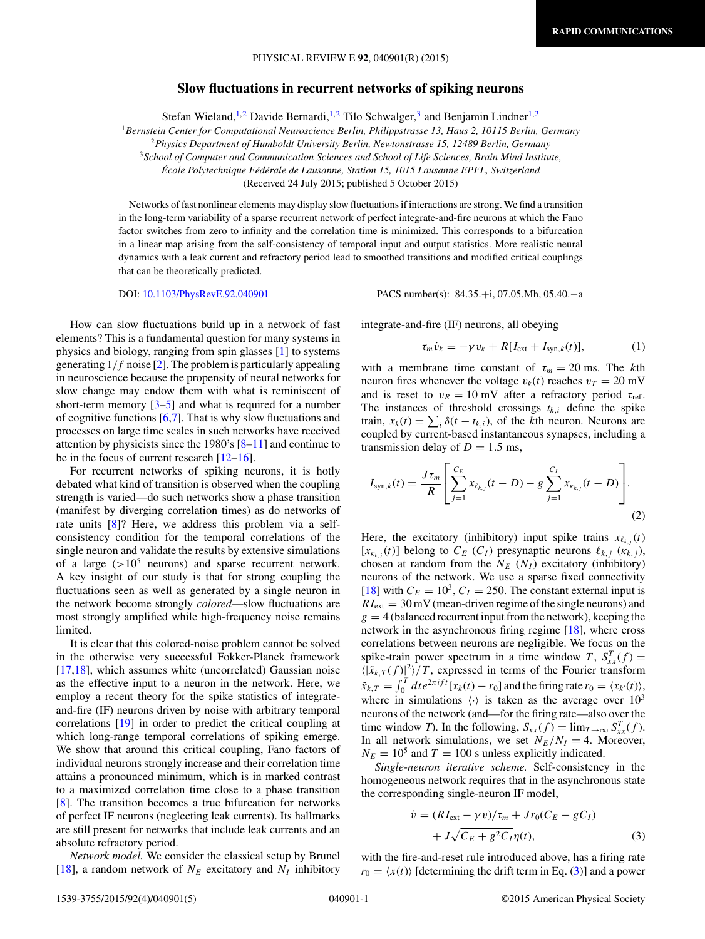## **Slow fluctuations in recurrent networks of spiking neurons**

Stefan Wieland,<sup>1,2</sup> Davide Bernardi,<sup>1,2</sup> Tilo Schwalger,<sup>3</sup> and Benjamin Lindner<sup>1,2</sup>

<span id="page-0-0"></span><sup>1</sup>*Bernstein Center for Computational Neuroscience Berlin, Philippstrasse 13, Haus 2, 10115 Berlin, Germany*

<sup>2</sup>*Physics Department of Humboldt University Berlin, Newtonstrasse 15, 12489 Berlin, Germany*

<sup>3</sup>*School of Computer and Communication Sciences and School of Life Sciences, Brain Mind Institute,*

*Ecole Polytechnique F ´ ed´ erale de Lausanne, Station 15, 1015 Lausanne EPFL, Switzerland ´*

(Received 24 July 2015; published 5 October 2015)

Networks of fast nonlinear elements may display slow fluctuations if interactions are strong. We find a transition in the long-term variability of a sparse recurrent network of perfect integrate-and-fire neurons at which the Fano factor switches from zero to infinity and the correlation time is minimized. This corresponds to a bifurcation in a linear map arising from the self-consistency of temporal input and output statistics. More realistic neural dynamics with a leak current and refractory period lead to smoothed transitions and modified critical couplings that can be theoretically predicted.

How can slow fluctuations build up in a network of fast

DOI: [10.1103/PhysRevE.92.040901](http://dx.doi.org/10.1103/PhysRevE.92.040901) PACS number(s): 84*.*35*.*+i*,* 07*.*05*.*Mh*,* 05*.*40*.*−a

integrate-and-fire (IF) neurons, all obeying

$$
\tau_m \dot{v}_k = -\gamma v_k + R[I_{\text{ext}} + I_{\text{syn},k}(t)],\tag{1}
$$

elements? This is a fundamental question for many systems in physics and biology, ranging from spin glasses [\[1\]](#page-3-0) to systems generating 1*/f* noise [\[2\]](#page-3-0). The problem is particularly appealing in neuroscience because the propensity of neural networks for slow change may endow them with what is reminiscent of short-term memory  $[3-5]$  and what is required for a number of cognitive functions [\[6,7\]](#page-3-0). That is why slow fluctuations and processes on large time scales in such networks have received attention by physicists since the 1980's [\[8–11\]](#page-3-0) and continue to be in the focus of current research  $[12-16]$ .

For recurrent networks of spiking neurons, it is hotly debated what kind of transition is observed when the coupling strength is varied—do such networks show a phase transition (manifest by diverging correlation times) as do networks of rate units [\[8\]](#page-3-0)? Here, we address this problem via a selfconsistency condition for the temporal correlations of the single neuron and validate the results by extensive simulations of a large (*>*105 neurons) and sparse recurrent network. A key insight of our study is that for strong coupling the fluctuations seen as well as generated by a single neuron in the network become strongly *colored*—slow fluctuations are most strongly amplified while high-frequency noise remains limited.

It is clear that this colored-noise problem cannot be solved in the otherwise very successful Fokker-Planck framework [\[17,18\]](#page-4-0), which assumes white (uncorrelated) Gaussian noise as the effective input to a neuron in the network. Here, we employ a recent theory for the spike statistics of integrateand-fire (IF) neurons driven by noise with arbitrary temporal correlations [\[19\]](#page-4-0) in order to predict the critical coupling at which long-range temporal correlations of spiking emerge. We show that around this critical coupling, Fano factors of individual neurons strongly increase and their correlation time attains a pronounced minimum, which is in marked contrast to a maximized correlation time close to a phase transition [\[8\]](#page-3-0). The transition becomes a true bifurcation for networks of perfect IF neurons (neglecting leak currents). Its hallmarks are still present for networks that include leak currents and an absolute refractory period.

*Network model.* We consider the classical setup by Brunel [\[18\]](#page-4-0), a random network of  $N_E$  excitatory and  $N_I$  inhibitory with a membrane time constant of  $\tau_m = 20$  ms. The *k*th neuron fires whenever the voltage  $v_k(t)$  reaches  $v_T = 20$  mV and is reset to  $v_R = 10$  mV after a refractory period  $\tau_{\text{ref}}$ . The instances of threshold crossings  $t_{k,i}$  define the spike train,  $x_k(t) = \sum_i \delta(t - t_{k,i})$ , of the *k*th neuron. Neurons are coupled by current-based instantaneous synapses, including a transmission delay of  $D = 1.5$  ms,

$$
I_{\text{syn},k}(t) = \frac{J\tau_m}{R} \left[ \sum_{j=1}^{C_E} x_{\ell_{k,j}}(t-D) - g \sum_{j=1}^{C_I} x_{\kappa_{k,j}}(t-D) \right].
$$
\n(2)

Here, the excitatory (inhibitory) input spike trains  $x_{\ell_{k,i}}(t)$  $[x_{k_k,i}(t)]$  belong to  $C_E$  ( $C_I$ ) presynaptic neurons  $\ell_{k,j}$  ( $\kappa_{k,j}$ ), chosen at random from the  $N_E$  ( $N_I$ ) excitatory (inhibitory) neurons of the network. We use a sparse fixed connectivity [\[18\]](#page-4-0) with  $C_F = 10^3$ ,  $C_I = 250$ . The constant external input is  $RI_{\text{ext}} = 30 \text{ mV}$  (mean-driven regime of the single neurons) and  $g = 4$  (balanced recurrent input from the network), keeping the network in the asynchronous firing regime [\[18\]](#page-4-0), where cross correlations between neurons are negligible. We focus on the spike-train power spectrum in a time window *T*,  $S_{xx}^T(f) =$  $\langle |\tilde{x}_{k,T}(f)|^2 \rangle / T$ , expressed in terms of the Fourier transform  $\tilde{x}_{k,T} = \int_0^T dt e^{2\pi i f t} [x_k(t) - r_0]$  and the firing rate  $r_0 = \langle x_{k'}(t) \rangle$ , where in simulations  $\langle \cdot \rangle$  is taken as the average over  $10^3$ neurons of the network (and—for the firing rate—also over the time window *T*). In the following,  $S_{xx}(f) = \lim_{T \to \infty} S_{xx}^T(f)$ . In all network simulations, we set  $N_E/N_I = 4$ . Moreover,  $N_E = 10^5$  and  $T = 100$  s unless explicitly indicated.

*Single-neuron iterative scheme.* Self-consistency in the homogeneous network requires that in the asynchronous state the corresponding single-neuron IF model,

$$
\dot{v} = (RI_{\text{ext}} - \gamma v)/\tau_m + Jr_0(C_E - gC_I)
$$
  
+ 
$$
J\sqrt{C_E + g^2C_I}\eta(t),
$$
 (3)

with the fire-and-reset rule introduced above, has a firing rate  $r_0 = \langle x(t) \rangle$  [determining the drift term in Eq. (3)] and a power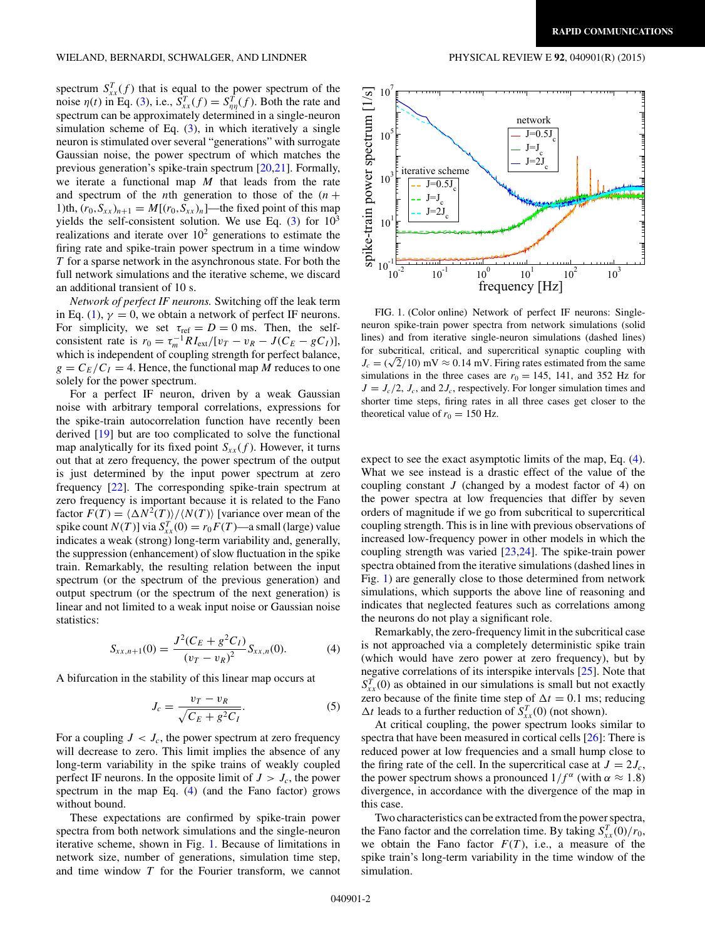<span id="page-1-0"></span>spectrum  $S_{xx}^T(f)$  that is equal to the power spectrum of the noise  $\eta(t)$  in Eq. [\(3\)](#page-0-0), i.e.,  $S_{xx}^T(f) = S_{\eta\eta}^T(f)$ . Both the rate and spectrum can be approximately determined in a single-neuron simulation scheme of Eq.  $(3)$ , in which iteratively a single neuron is stimulated over several "generations" with surrogate Gaussian noise, the power spectrum of which matches the previous generation's spike-train spectrum [\[20,21\]](#page-4-0). Formally, we iterate a functional map *M* that leads from the rate and spectrum of the *n*th generation to those of the  $(n +$ 1)th,  $(r_0, S_{xx})_{n+1} = M[(r_0, S_{xx})_n]$ —the fixed point of this map yields the self-consistent solution. We use Eq.  $(3)$  for  $10<sup>3</sup>$ realizations and iterate over  $10^2$  generations to estimate the firing rate and spike-train power spectrum in a time window *T* for a sparse network in the asynchronous state. For both the full network simulations and the iterative scheme, we discard an additional transient of 10 s.

*Network of perfect IF neurons.* Switching off the leak term in Eq. [\(1\)](#page-0-0),  $\gamma = 0$ , we obtain a network of perfect IF neurons. For simplicity, we set  $\tau_{ref} = D = 0$  ms. Then, the selfconsistent rate is  $r_0 = \tau_m^{-1} R I_{ext} / [v_T - v_R - J(C_E - gC_I)],$ which is independent of coupling strength for perfect balance,  $g = C_E/C_I = 4$ . Hence, the functional map *M* reduces to one solely for the power spectrum.

For a perfect IF neuron, driven by a weak Gaussian noise with arbitrary temporal correlations, expressions for the spike-train autocorrelation function have recently been derived [\[19\]](#page-4-0) but are too complicated to solve the functional map analytically for its fixed point  $S_{xx}(f)$ . However, it turns out that at zero frequency, the power spectrum of the output is just determined by the input power spectrum at zero frequency [\[22\]](#page-4-0). The corresponding spike-train spectrum at zero frequency is important because it is related to the Fano factor  $F(T) = \langle \Delta N^2(T) \rangle / \langle N(T) \rangle$  [variance over mean of the spike count *N*(*T*)] via  $S_{xx}^T(0) = r_0 F(T)$ —a small (large) value indicates a weak (strong) long-term variability and, generally, the suppression (enhancement) of slow fluctuation in the spike train. Remarkably, the resulting relation between the input spectrum (or the spectrum of the previous generation) and output spectrum (or the spectrum of the next generation) is linear and not limited to a weak input noise or Gaussian noise statistics:

$$
S_{xx,n+1}(0) = \frac{J^2(C_E + g^2 C_I)}{(v_T - v_R)^2} S_{xx,n}(0). \tag{4}
$$

A bifurcation in the stability of this linear map occurs at

$$
J_c = \frac{v_T - v_R}{\sqrt{C_E + g^2 C_I}}.\tag{5}
$$

For a coupling  $J < J_c$ , the power spectrum at zero frequency will decrease to zero. This limit implies the absence of any long-term variability in the spike trains of weakly coupled perfect IF neurons. In the opposite limit of  $J > J_c$ , the power spectrum in the map Eq.  $(4)$  (and the Fano factor) grows without bound.

These expectations are confirmed by spike-train power spectra from both network simulations and the single-neuron iterative scheme, shown in Fig. 1. Because of limitations in network size, number of generations, simulation time step, and time window *T* for the Fourier transform, we cannot



FIG. 1. (Color online) Network of perfect IF neurons: Singleneuron spike-train power spectra from network simulations (solid lines) and from iterative single-neuron simulations (dashed lines) for subcritical, critical, and supercritical synaptic coupling with  $J_c = (\sqrt{2}/10)$  mV  $\approx 0.14$  mV. Firing rates estimated from the same simulations in the three cases are  $r_0 = 145$ , 141, and 352 Hz for  $J = J_c/2$ ,  $J_c$ , and  $2J_c$ , respectively. For longer simulation times and shorter time steps, firing rates in all three cases get closer to the theoretical value of  $r_0 = 150$  Hz.

expect to see the exact asymptotic limits of the map, Eq.  $(4)$ . What we see instead is a drastic effect of the value of the coupling constant *J* (changed by a modest factor of 4) on the power spectra at low frequencies that differ by seven orders of magnitude if we go from subcritical to supercritical coupling strength. This is in line with previous observations of increased low-frequency power in other models in which the coupling strength was varied [\[23,24\]](#page-4-0). The spike-train power spectra obtained from the iterative simulations (dashed lines in Fig. 1) are generally close to those determined from network simulations, which supports the above line of reasoning and indicates that neglected features such as correlations among the neurons do not play a significant role.

Remarkably, the zero-frequency limit in the subcritical case is not approached via a completely deterministic spike train (which would have zero power at zero frequency), but by negative correlations of its interspike intervals [\[25\]](#page-4-0). Note that  $S_{xx}^T(0)$  as obtained in our simulations is small but not exactly zero because of the finite time step of  $\Delta t = 0.1$  ms; reducing  $\Delta t$  leads to a further reduction of  $S_{xx}^T(0)$  (not shown).

At critical coupling, the power spectrum looks similar to spectra that have been measured in cortical cells [\[26\]](#page-4-0): There is reduced power at low frequencies and a small hump close to the firing rate of the cell. In the supercritical case at  $J = 2J_c$ , the power spectrum shows a pronounced  $1/f^{\alpha}$  (with  $\alpha \approx 1.8$ ) divergence, in accordance with the divergence of the map in this case.

Two characteristics can be extracted from the power spectra, the Fano factor and the correlation time. By taking  $S_{xx}^T(0)/r_0$ , we obtain the Fano factor  $F(T)$ , i.e., a measure of the spike train's long-term variability in the time window of the simulation.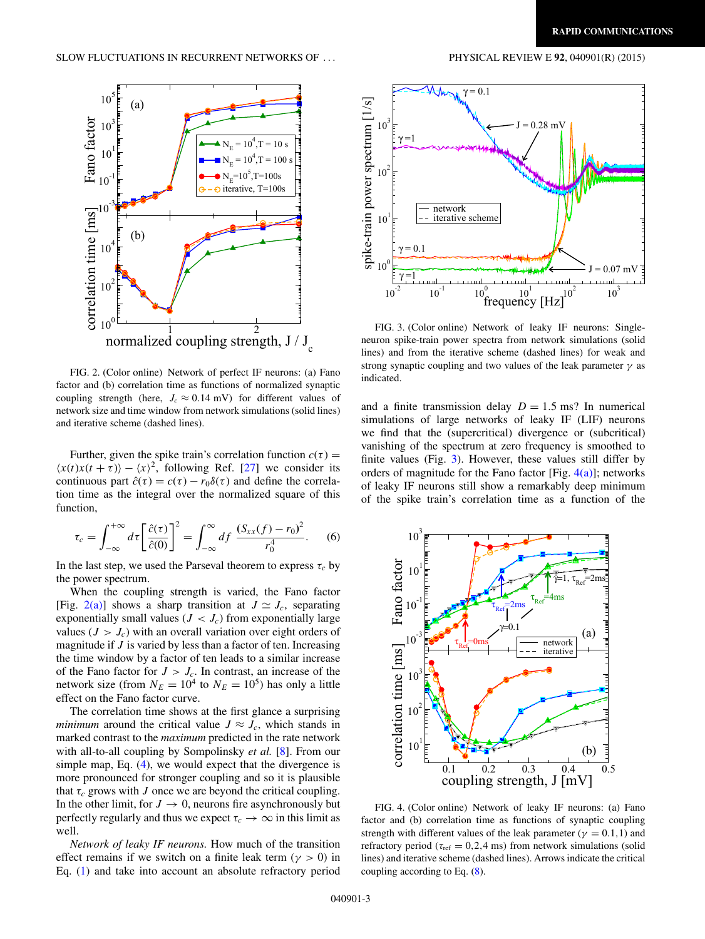<span id="page-2-0"></span>

FIG. 2. (Color online) Network of perfect IF neurons: (a) Fano factor and (b) correlation time as functions of normalized synaptic coupling strength (here,  $J_c \approx 0.14$  mV) for different values of network size and time window from network simulations (solid lines) and iterative scheme (dashed lines).

Further, given the spike train's correlation function  $c(\tau)$  =  $\langle x(t)x(t + \tau) \rangle - \langle x \rangle^2$ , following Ref. [\[27\]](#page-4-0) we consider its continuous part  $\hat{c}(\tau) = c(\tau) - r_0 \delta(\tau)$  and define the correlation time as the integral over the normalized square of this function,

$$
\tau_c = \int_{-\infty}^{+\infty} d\tau \left[ \frac{\hat{c}(\tau)}{\hat{c}(0)} \right]^2 = \int_{-\infty}^{\infty} df \frac{(S_{xx}(f) - r_0)^2}{r_0^4}.
$$
 (6)

In the last step, we used the Parseval theorem to express  $\tau_c$  by the power spectrum.

When the coupling strength is varied, the Fano factor [Fig. 2(a)] shows a sharp transition at  $J \simeq J_c$ , separating exponentially small values  $(J < J_c)$  from exponentially large values  $(J > J_c)$  with an overall variation over eight orders of magnitude if *J* is varied by less than a factor of ten. Increasing the time window by a factor of ten leads to a similar increase of the Fano factor for  $J > J_c$ . In contrast, an increase of the network size (from  $N_E = 10^4$  to  $N_E = 10^5$ ) has only a little effect on the Fano factor curve.

The correlation time shows at the first glance a surprising *minimum* around the critical value  $J \approx J_c$ , which stands in marked contrast to the *maximum* predicted in the rate network with all-to-all coupling by Sompolinsky *et al.* [\[8\]](#page-3-0). From our simple map, Eq. [\(4\)](#page-1-0), we would expect that the divergence is more pronounced for stronger coupling and so it is plausible that  $\tau_c$  grows with *J* once we are beyond the critical coupling. In the other limit, for  $J \to 0$ , neurons fire asynchronously but perfectly regularly and thus we expect  $\tau_c \to \infty$  in this limit as well.

*Network of leaky IF neurons.* How much of the transition effect remains if we switch on a finite leak term ( $\gamma > 0$ ) in Eq. [\(1\)](#page-0-0) and take into account an absolute refractory period



FIG. 3. (Color online) Network of leaky IF neurons: Singleneuron spike-train power spectra from network simulations (solid lines) and from the iterative scheme (dashed lines) for weak and strong synaptic coupling and two values of the leak parameter *γ* as indicated.

and a finite transmission delay  $D = 1.5$  ms? In numerical simulations of large networks of leaky IF (LIF) neurons we find that the (supercritical) divergence or (subcritical) vanishing of the spectrum at zero frequency is smoothed to finite values (Fig. 3). However, these values still differ by orders of magnitude for the Fano factor [Fig.  $4(a)$ ]; networks of leaky IF neurons still show a remarkably deep minimum of the spike train's correlation time as a function of the



FIG. 4. (Color online) Network of leaky IF neurons: (a) Fano factor and (b) correlation time as functions of synaptic coupling strength with different values of the leak parameter ( $\gamma = 0.1, 1$ ) and refractory period ( $\tau_{ref} = 0.2, 4$  ms) from network simulations (solid lines) and iterative scheme (dashed lines). Arrows indicate the critical coupling according to Eq. [\(8\)](#page-3-0).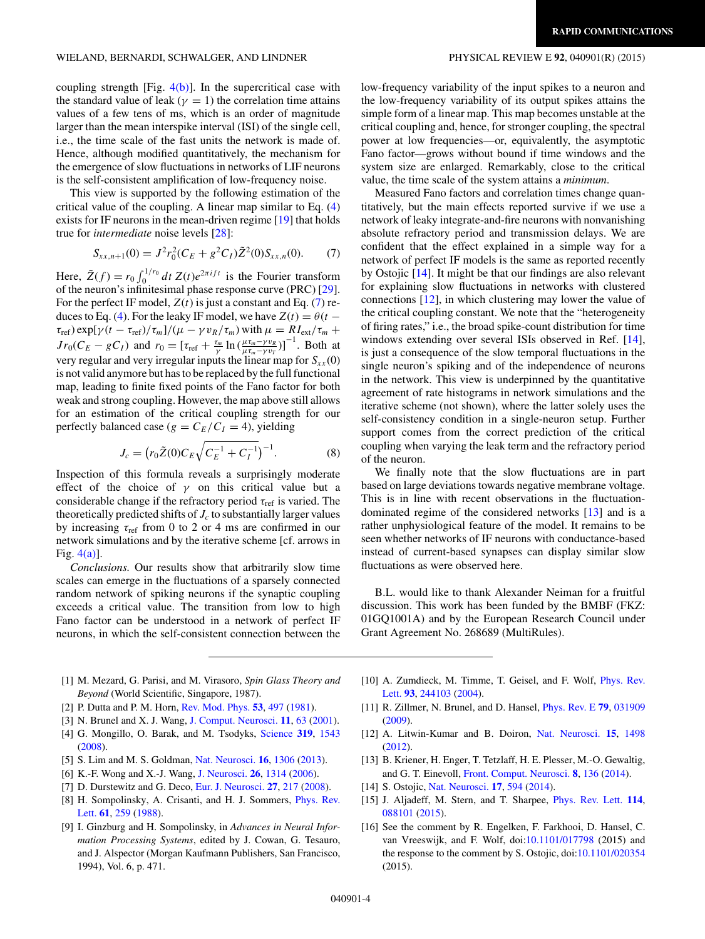<span id="page-3-0"></span>coupling strength [Fig.  $4(b)$ ]. In the supercritical case with the standard value of leak ( $\gamma = 1$ ) the correlation time attains values of a few tens of ms, which is an order of magnitude larger than the mean interspike interval (ISI) of the single cell, i.e., the time scale of the fast units the network is made of. Hence, although modified quantitatively, the mechanism for the emergence of slow fluctuations in networks of LIF neurons is the self-consistent amplification of low-frequency noise.

This view is supported by the following estimation of the critical value of the coupling. A linear map similar to Eq. [\(4\)](#page-1-0) exists for IF neurons in the mean-driven regime [\[19\]](#page-4-0) that holds true for *intermediate* noise levels [\[28\]](#page-4-0):

$$
S_{xx,n+1}(0) = J^2 r_0^2 (C_E + g^2 C_I) \tilde{Z}^2(0) S_{xx,n}(0). \tag{7}
$$

Here,  $\tilde{Z}(f) = r_0 \int_0^{1/r_0} dt Z(t) e^{2\pi i f t}$  is the Fourier transform of the neuron's infinitesimal phase response curve (PRC) [\[29\]](#page-4-0). For the perfect IF model,  $Z(t)$  is just a constant and Eq. (7) re-duces to Eq. [\(4\)](#page-1-0). For the leaky IF model, we have  $Z(t) = \theta(t - \theta)$ *τ*<sub>ref</sub>) exp[ $\gamma$ (*t* − *τ*<sub>ref</sub>)/ $\tau_m$ ]/( $\mu$  −  $\gamma v_R / \tau_m$ ) with  $\mu = R I_{ext} / \tau_m$  + *Jr*<sub>0</sub>( $C_E - gC_I$ ) and  $r_0 = [\tau_{ref} + \frac{\tau_m}{\gamma} \ln (\frac{\mu \tau_m - \gamma v_R}{\mu \tau_m - \gamma v_T})]^{-1}$ . Both at very regular and very irregular inputs the linear map for  $S_{xx}(0)$ is not valid anymore but has to be replaced by the full functional map, leading to finite fixed points of the Fano factor for both weak and strong coupling. However, the map above still allows for an estimation of the critical coupling strength for our perfectly balanced case ( $g = C_E/C_I = 4$ ), yielding

$$
J_c = \left( r_0 \tilde{Z}(0) C_E \sqrt{C_E^{-1} + C_I^{-1}} \right)^{-1}.
$$
 (8)

Inspection of this formula reveals a surprisingly moderate effect of the choice of  $\gamma$  on this critical value but a considerable change if the refractory period *τ*ref is varied. The theoretically predicted shifts of  $J_c$  to substantially larger values by increasing  $\tau_{ref}$  from 0 to 2 or 4 ms are confirmed in our network simulations and by the iterative scheme [cf. arrows in Fig. [4\(a\)\]](#page-2-0).

*Conclusions.* Our results show that arbitrarily slow time scales can emerge in the fluctuations of a sparsely connected random network of spiking neurons if the synaptic coupling exceeds a critical value. The transition from low to high Fano factor can be understood in a network of perfect IF neurons, in which the self-consistent connection between the

low-frequency variability of the input spikes to a neuron and the low-frequency variability of its output spikes attains the simple form of a linear map. This map becomes unstable at the

critical coupling and, hence, for stronger coupling, the spectral power at low frequencies—or, equivalently, the asymptotic Fano factor—grows without bound if time windows and the system size are enlarged. Remarkably, close to the critical value, the time scale of the system attains a *minimum*.

Measured Fano factors and correlation times change quantitatively, but the main effects reported survive if we use a network of leaky integrate-and-fire neurons with nonvanishing absolute refractory period and transmission delays. We are confident that the effect explained in a simple way for a network of perfect IF models is the same as reported recently by Ostojic [14]. It might be that our findings are also relevant for explaining slow fluctuations in networks with clustered connections [12], in which clustering may lower the value of the critical coupling constant. We note that the "heterogeneity of firing rates," i.e., the broad spike-count distribution for time windows extending over several ISIs observed in Ref. [14], is just a consequence of the slow temporal fluctuations in the single neuron's spiking and of the independence of neurons in the network. This view is underpinned by the quantitative agreement of rate histograms in network simulations and the iterative scheme (not shown), where the latter solely uses the self-consistency condition in a single-neuron setup. Further support comes from the correct prediction of the critical coupling when varying the leak term and the refractory period of the neuron.

We finally note that the slow fluctuations are in part based on large deviations towards negative membrane voltage. This is in line with recent observations in the fluctuationdominated regime of the considered networks [13] and is a rather unphysiological feature of the model. It remains to be seen whether networks of IF neurons with conductance-based instead of current-based synapses can display similar slow fluctuations as were observed here.

B.L. would like to thank Alexander Neiman for a fruitful discussion. This work has been funded by the BMBF (FKZ: 01GQ1001A) and by the European Research Council under Grant Agreement No. 268689 (MultiRules).

- [1] M. Mezard, G. Parisi, and M. Virasoro, *Spin Glass Theory and Beyond* (World Scientific, Singapore, 1987).
- [2] P. Dutta and P. M. Horn, [Rev. Mod. Phys.](http://dx.doi.org/10.1103/RevModPhys.53.497) **[53](http://dx.doi.org/10.1103/RevModPhys.53.497)**, [497](http://dx.doi.org/10.1103/RevModPhys.53.497) [\(1981\)](http://dx.doi.org/10.1103/RevModPhys.53.497).
- [3] N. Brunel and X. J. Wang, [J. Comput. Neurosci.](http://dx.doi.org/10.1023/A:1011204814320) **[11](http://dx.doi.org/10.1023/A:1011204814320)**, [63](http://dx.doi.org/10.1023/A:1011204814320) [\(2001\)](http://dx.doi.org/10.1023/A:1011204814320).
- [4] G. Mongillo, O. Barak, and M. Tsodyks, [Science](http://dx.doi.org/10.1126/science.1150769) **[319](http://dx.doi.org/10.1126/science.1150769)**, [1543](http://dx.doi.org/10.1126/science.1150769) [\(2008\)](http://dx.doi.org/10.1126/science.1150769).
- [5] S. Lim and M. S. Goldman, [Nat. Neurosci.](http://dx.doi.org/10.1038/nn.3492) **[16](http://dx.doi.org/10.1038/nn.3492)**, [1306](http://dx.doi.org/10.1038/nn.3492) [\(2013\)](http://dx.doi.org/10.1038/nn.3492).
- [6] K.-F. Wong and X.-J. Wang, [J. Neurosci.](http://dx.doi.org/10.1523/JNEUROSCI.3733-05.2006) **[26](http://dx.doi.org/10.1523/JNEUROSCI.3733-05.2006)**, [1314](http://dx.doi.org/10.1523/JNEUROSCI.3733-05.2006) [\(2006\)](http://dx.doi.org/10.1523/JNEUROSCI.3733-05.2006).
- [7] D. Durstewitz and G. Deco, [Eur. J. Neurosci.](http://dx.doi.org/10.1111/j.1460-9568.2007.05976.x) **[27](http://dx.doi.org/10.1111/j.1460-9568.2007.05976.x)**, [217](http://dx.doi.org/10.1111/j.1460-9568.2007.05976.x) [\(2008\)](http://dx.doi.org/10.1111/j.1460-9568.2007.05976.x).
- [8] [H. Sompolinsky, A. Crisanti, and H. J. Sommers,](http://dx.doi.org/10.1103/PhysRevLett.61.259) Phys. Rev. Lett. **[61](http://dx.doi.org/10.1103/PhysRevLett.61.259)**, [259](http://dx.doi.org/10.1103/PhysRevLett.61.259) [\(1988\)](http://dx.doi.org/10.1103/PhysRevLett.61.259).
- [9] I. Ginzburg and H. Sompolinsky, in *Advances in Neural Information Processing Systems*, edited by J. Cowan, G. Tesauro, and J. Alspector (Morgan Kaufmann Publishers, San Francisco, 1994), Vol. 6, p. 471.
- [10] [A. Zumdieck, M. Timme, T. Geisel, and F. Wolf,](http://dx.doi.org/10.1103/PhysRevLett.93.244103) *Phys. Rev.* Lett. **[93](http://dx.doi.org/10.1103/PhysRevLett.93.244103)**, [244103](http://dx.doi.org/10.1103/PhysRevLett.93.244103) [\(2004\)](http://dx.doi.org/10.1103/PhysRevLett.93.244103).
- [11] R. Zillmer, N. Brunel, and D. Hansel, [Phys. Rev. E](http://dx.doi.org/10.1103/PhysRevE.79.031909) **[79](http://dx.doi.org/10.1103/PhysRevE.79.031909)**, [031909](http://dx.doi.org/10.1103/PhysRevE.79.031909) [\(2009\)](http://dx.doi.org/10.1103/PhysRevE.79.031909).
- [12] A. Litwin-Kumar and B. Doiron, [Nat. Neurosci.](http://dx.doi.org/10.1038/nn.3220) **[15](http://dx.doi.org/10.1038/nn.3220)**, [1498](http://dx.doi.org/10.1038/nn.3220) [\(2012\)](http://dx.doi.org/10.1038/nn.3220).
- [13] B. Kriener, H. Enger, T. Tetzlaff, H. E. Plesser, M.-O. Gewaltig, and G. T. Einevoll, [Front. Comput. Neurosci.](http://dx.doi.org/10.3389/fncom.2014.00136) **[8](http://dx.doi.org/10.3389/fncom.2014.00136)**, [136](http://dx.doi.org/10.3389/fncom.2014.00136) [\(2014\)](http://dx.doi.org/10.3389/fncom.2014.00136).
- [14] S. Ostojic, [Nat. Neurosci.](http://dx.doi.org/10.1038/nn.3658) **[17](http://dx.doi.org/10.1038/nn.3658)**, [594](http://dx.doi.org/10.1038/nn.3658) [\(2014\)](http://dx.doi.org/10.1038/nn.3658).
- [15] J. Aljadeff, M. Stern, and T. Sharpee, [Phys. Rev. Lett.](http://dx.doi.org/10.1103/PhysRevLett.114.088101) **[114](http://dx.doi.org/10.1103/PhysRevLett.114.088101)**, [088101](http://dx.doi.org/10.1103/PhysRevLett.114.088101) [\(2015\)](http://dx.doi.org/10.1103/PhysRevLett.114.088101).
- [16] See the comment by R. Engelken, F. Farkhooi, D. Hansel, C. van Vreeswijk, and F. Wolf, doi[:10.1101/017798](http://dx.doi.org/10.1101/017798) (2015) and the response to the comment by S. Ostojic, doi[:10.1101/020354](http://dx.doi.org/10.1101/020354) (2015).